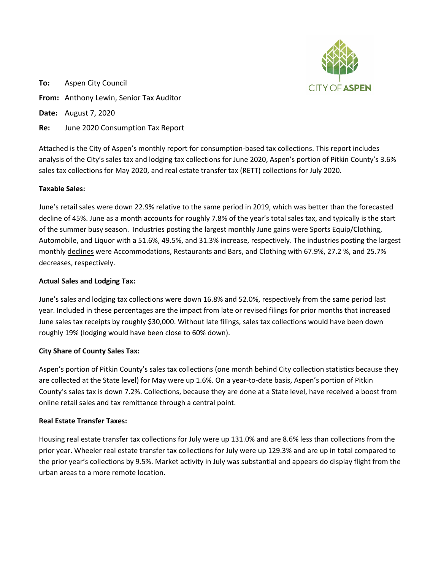

**To:** Aspen City Council **From:** Anthony Lewin, Senior Tax Auditor **Date:** August 7, 2020 **Re:** June 2020 Consumption Tax Report

Attached is the City of Aspen's monthly report for consumption-based tax collections. This report includes analysis of the City's sales tax and lodging tax collections for June 2020, Aspen's portion of Pitkin County's 3.6% sales tax collections for May 2020, and real estate transfer tax (RETT) collections for July 2020.

# **Taxable Sales:**

June's retail sales were down 22.9% relative to the same period in 2019, which was better than the forecasted decline of 45%. June as a month accounts for roughly 7.8% of the year's total sales tax, and typically is the start of the summer busy season. Industries posting the largest monthly June gains were Sports Equip/Clothing, Automobile, and Liquor with a 51.6%, 49.5%, and 31.3% increase, respectively. The industries posting the largest monthly declines were Accommodations, Restaurants and Bars, and Clothing with 67.9%, 27.2 %, and 25.7% decreases, respectively.

## **Actual Sales and Lodging Tax:**

June's sales and lodging tax collections were down 16.8% and 52.0%, respectively from the same period last year. Included in these percentages are the impact from late or revised filings for prior months that increased June sales tax receipts by roughly \$30,000. Without late filings, sales tax collections would have been down roughly 19% (lodging would have been close to 60% down).

## **City Share of County Sales Tax:**

Aspen's portion of Pitkin County's sales tax collections (one month behind City collection statistics because they are collected at the State level) for May were up 1.6%. On a year-to-date basis, Aspen's portion of Pitkin County's sales tax is down 7.2%. Collections, because they are done at a State level, have received a boost from online retail sales and tax remittance through a central point.

## **Real Estate Transfer Taxes:**

Housing real estate transfer tax collections for July were up 131.0% and are 8.6% less than collections from the prior year. Wheeler real estate transfer tax collections for July were up 129.3% and are up in total compared to the prior year's collections by 9.5%. Market activity in July was substantial and appears do display flight from the urban areas to a more remote location.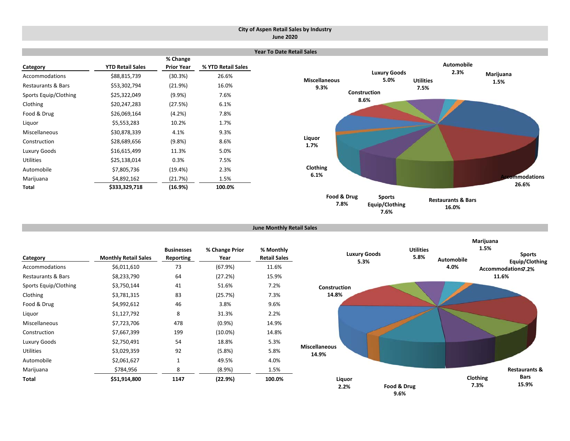### **City of Aspen Retail Sales by Industry June 2020**

|                               |                         |                               |                    | <b>Year To Date Retail Sales</b> |                             |                  |                     |               |
|-------------------------------|-------------------------|-------------------------------|--------------------|----------------------------------|-----------------------------|------------------|---------------------|---------------|
| Category                      | <b>YTD Retail Sales</b> | % Change<br><b>Prior Year</b> | % YTD Retail Sales |                                  |                             |                  | Automobile          |               |
| Accommodations                | \$88,815,739            | (30.3%)                       | 26.6%              | <b>Miscellaneous</b>             | <b>Luxury Goods</b><br>5.0% | <b>Utilities</b> | 2.3%                | Marijuana     |
| <b>Restaurants &amp; Bars</b> | \$53,302,794            | (21.9%)                       | 16.0%              | 9.3%                             |                             | 7.5%             |                     | 1.5%          |
| Sports Equip/Clothing         | \$25,322,049            | (9.9%                         | 7.6%               |                                  | Construction                |                  |                     |               |
| Clothing                      | \$20,247,283            | (27.5%)                       | 6.1%               |                                  | 8.6%                        |                  |                     |               |
| Food & Drug                   | \$26,069,164            | (4.2%)                        | 7.8%               |                                  |                             |                  |                     |               |
| Liquor                        | \$5,553,283             | 10.2%                         | 1.7%               |                                  |                             |                  |                     |               |
| Miscellaneous                 | \$30,878,339            | 4.1%                          | 9.3%               |                                  |                             |                  |                     |               |
| Construction                  | \$28,689,656            | (9.8%)                        | 8.6%               | Liquor<br>1.7%                   |                             |                  |                     |               |
| Luxury Goods                  | \$16,615,499            | 11.3%                         | 5.0%               |                                  |                             |                  |                     |               |
| <b>Utilities</b>              | \$25,138,014            | 0.3%                          | 7.5%               |                                  |                             |                  |                     |               |
| Automobile                    | \$7,805,736             | (19.4%)                       | 2.3%               | Clothing                         |                             |                  |                     |               |
| Marijuana                     | \$4,892,162             | (21.7%)                       | 1.5%               | 6.1%                             |                             |                  |                     | ecommodations |
| Total                         | \$333,329,718           | (16.9%)                       | 100.0%             |                                  |                             |                  |                     | 26.6%         |
|                               |                         |                               |                    | Food & Drug                      | <b>Sports</b>               |                  | Doctourants P. Dars |               |

**Equip/Clothing 7.6%**

**7.8%**

**June Monthly Retail Sales**

|                       |                             | <b>Businesses</b> | % Change Prior | % Monthly           |
|-----------------------|-----------------------------|-------------------|----------------|---------------------|
| Category              | <b>Monthly Retail Sales</b> | Reporting         | Year           | <b>Retail Sales</b> |
| Accommodations        | \$6,011,610                 | 73                | (67.9%)        | 11.6%               |
| Restaurants & Bars    | \$8,233,790                 | 64                | (27.2%)        | 15.9%               |
| Sports Equip/Clothing | \$3,750,144                 | 41                | 51.6%          | 7.2%                |
| Clothing              | \$3,781,315                 | 83                | (25.7%)        | 7.3%                |
| Food & Drug           | \$4,992,612                 | 46                | 3.8%           | 9.6%                |
| Liquor                | \$1,127,792                 | 8                 | 31.3%          | 2.2%                |
| Miscellaneous         | \$7,723,706                 | 478               | $(0.9\%)$      | 14.9%               |
| Construction          | \$7,667,399                 | 199               | $(10.0\%)$     | 14.8%               |
| Luxury Goods          | \$2,750,491                 | 54                | 18.8%          | 5.3%                |
| Utilities             | \$3,029,359                 | 92                | $(5.8\%)$      | 5.8%                |
| Automobile            | \$2,061,627                 | 1                 | 49.5%          | 4.0%                |
| Marijuana             | \$784,956                   | 8                 | (8.9%)         | 1.5%                |
| Total                 | \$51,914,800                | 1147              | (22.9%)        | 100.0%              |



**Restaurants & Bars 16.0%**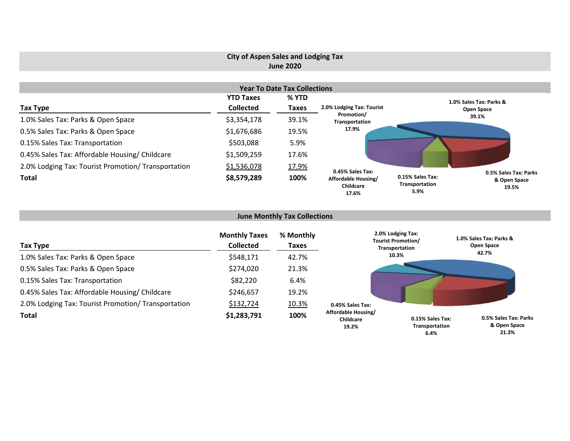# **City of Aspen Sales and Lodging Tax June 2020**

|                                                     |                  | <b>Year To Date Tax Collections</b> |                                           |                                            |                                                |
|-----------------------------------------------------|------------------|-------------------------------------|-------------------------------------------|--------------------------------------------|------------------------------------------------|
|                                                     | <b>YTD Taxes</b> | % YTD                               |                                           |                                            | 1.0% Sales Tax: Parks &                        |
| Tax Type                                            | <b>Collected</b> | <b>Taxes</b>                        | 2.0% Lodging Tax: Tourist                 |                                            | Open Space                                     |
| 1.0% Sales Tax: Parks & Open Space                  | \$3,354,178      | 39.1%                               | Promotion/<br>Transportation              |                                            | 39.1%                                          |
| 0.5% Sales Tax: Parks & Open Space                  | \$1,676,686      | 19.5%                               | 17.9%                                     |                                            |                                                |
| 0.15% Sales Tax: Transportation                     | \$503,088        | 5.9%                                |                                           |                                            |                                                |
| 0.45% Sales Tax: Affordable Housing/ Childcare      | \$1,509,259      | 17.6%                               |                                           |                                            |                                                |
| 2.0% Lodging Tax: Tourist Promotion/ Transportation | \$1,536,078      | 17.9%                               | 0.45% Sales Tax:                          |                                            |                                                |
| <b>Total</b>                                        | \$8,579,289      | 100%                                | Affordable Housing/<br>Childcare<br>17.6% | 0.15% Sales Tax:<br>Transportation<br>5.9% | 0.5% Sales Tax: Parks<br>& Open Space<br>19.5% |

### **June Monthly Tax Collections**

| Tax Type                                            | <b>Monthly Taxes</b><br><b>Collected</b> | % Monthly<br><b>Taxes</b> |                                           | 2.0% Lodging Tax:<br><b>Tourist Promotion/</b><br>Transportation | 1.0% Sales Tax: Parks &<br>Open Space |
|-----------------------------------------------------|------------------------------------------|---------------------------|-------------------------------------------|------------------------------------------------------------------|---------------------------------------|
| 1.0% Sales Tax: Parks & Open Space                  | \$548,171                                | 42.7%                     |                                           | 10.3%                                                            | 42.7%                                 |
| 0.5% Sales Tax: Parks & Open Space                  | \$274,020                                | 21.3%                     |                                           |                                                                  |                                       |
| 0.15% Sales Tax: Transportation                     | \$82,220                                 | 6.4%                      |                                           |                                                                  |                                       |
| 0.45% Sales Tax: Affordable Housing/ Childcare      | \$246,657                                | 19.2%                     |                                           |                                                                  |                                       |
| 2.0% Lodging Tax: Tourist Promotion/ Transportation | \$132,724                                | 10.3%                     | 0.45% Sales Tax:                          |                                                                  |                                       |
| <b>Total</b>                                        | \$1,283,791                              | 100%                      | Affordable Housing/<br>Childcare<br>19.2% | 0.15% Sales Tax:<br>Transportation                               | 0.5% Sales Tax: Parks<br>& Open Space |

**21.3%**

**6.4%**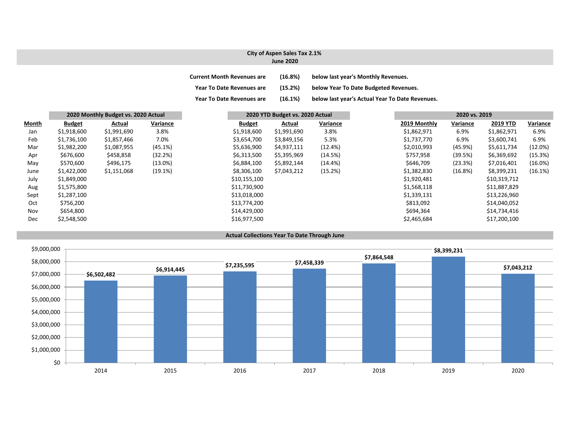# **City of Aspen Sales Tax 2.1%**

|  |  | <b>June 2020</b> |  |
|--|--|------------------|--|
|--|--|------------------|--|

| <b>Current Month Revenues are</b> | (16.8%) | below last year's Monthly Revenues.             |
|-----------------------------------|---------|-------------------------------------------------|
| <b>Year To Date Revenues are</b>  | (15.2%) | below Year To Date Budgeted Revenues.           |
| <b>Year To Date Revenues are</b>  | (16.1%) | below last year's Actual Year To Date Revenues. |

|              |               | 2020 Monthly Budget vs. 2020 Actual |            |               | 2020 YTD Budget vs. 2020 Actual |            |              | 2020 vs. 2019 |              |            |
|--------------|---------------|-------------------------------------|------------|---------------|---------------------------------|------------|--------------|---------------|--------------|------------|
| <b>Month</b> | <b>Budget</b> | Actual                              | Variance   | <b>Budget</b> | Actual                          | Variance   | 2019 Monthly | Variance      | 2019 YTD     | Variance   |
| Jan          | \$1,918,600   | \$1,991,690                         | 3.8%       | \$1,918,600   | \$1,991,690                     | 3.8%       | \$1,862,971  | 6.9%          | \$1,862,971  | 6.9%       |
| Feb          | \$1,736,100   | \$1,857,466                         | 7.0%       | \$3,654,700   | \$3,849,156                     | 5.3%       | \$1,737,770  | 6.9%          | \$3,600,741  | 6.9%       |
| Mar          | \$1,982,200   | \$1,087,955                         | $(45.1\%)$ | \$5,636,900   | \$4,937,111                     | (12.4%)    | \$2,010,993  | (45.9%)       | \$5,611,734  | (12.0%)    |
| Apr          | \$676,600     | \$458,858                           | (32.2%)    | \$6,313,500   | \$5,395,969                     | (14.5%)    | \$757,958    | (39.5%)       | \$6,369,692  | (15.3%)    |
| May          | \$570,600     | \$496,175                           | $(13.0\%)$ | \$6,884,100   | \$5,892,144                     | $(14.4\%)$ | \$646,709    | (23.3%)       | \$7,016,401  | $(16.0\%)$ |
| June         | \$1,422,000   | \$1,151,068                         | (19.1%)    | \$8,306,100   | \$7,043,212                     | (15.2%)    | \$1,382,830  | $(16.8\%)$    | \$8,399,231  | (16.1%)    |
| July         | \$1,849,000   |                                     |            | \$10,155,100  |                                 |            | \$1,920,481  |               | \$10,319,712 |            |
| Aug          | \$1,575,800   |                                     |            | \$11,730,900  |                                 |            | \$1,568,118  |               | \$11,887,829 |            |
| Sept         | \$1,287,100   |                                     |            | \$13,018,000  |                                 |            | \$1,339,131  |               | \$13,226,960 |            |
| Oct          | \$756,200     |                                     |            | \$13,774,200  |                                 |            | \$813,092    |               | \$14,040,052 |            |
| Nov          | \$654,800     |                                     |            | \$14,429,000  |                                 |            | \$694,364    |               | \$14,734,416 |            |
| Dec          | \$2,548,500   |                                     |            | \$16,977,500  |                                 |            | \$2,465,684  |               | \$17,200,100 |            |



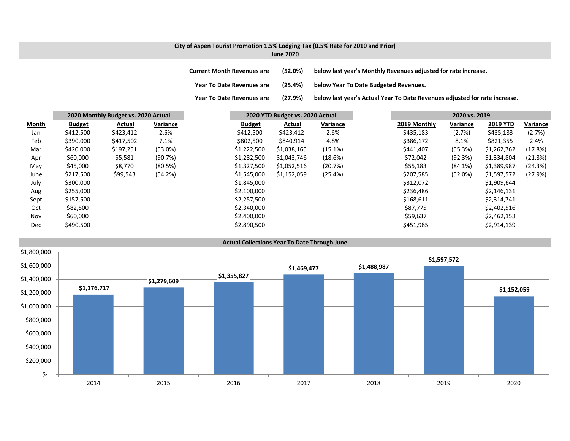### **City of Aspen Tourist Promotion 1.5% Lodging Tax (0.5% Rate for 2010 and Prior) June 2020**

**Current MonthRevenues are (52.0%) below last year's Monthly Revenues adjusted for rate increase.**

**Year ToDate Revenues are (25.4%) below Year To Date Budgeted Revenues.**

**Year To**(27.9%) below last year's Actual Year To Date Revenues adjusted for rate increase.

|              |               | 2020 Monthly Budget vs. 2020 Actual |            |               | 2020 YTD Budget vs. 2020 Actual |          |              | 2020 vs. 2019 |                 |          |
|--------------|---------------|-------------------------------------|------------|---------------|---------------------------------|----------|--------------|---------------|-----------------|----------|
| <b>Month</b> | <b>Budget</b> | Actual                              | Variance   | <b>Budget</b> | Actual                          | Variance | 2019 Monthly | Variance      | <b>2019 YTD</b> | Variance |
| Jan          | \$412,500     | \$423,412                           | 2.6%       | \$412,500     | \$423,412                       | 2.6%     | \$435,183    | (2.7%)        | \$435,183       | (2.7%)   |
| Feb          | \$390,000     | \$417,502                           | 7.1%       | \$802,500     | \$840,914                       | 4.8%     | \$386,172    | 8.1%          | \$821,355       | 2.4%     |
| Mar          | \$420,000     | \$197,251                           | $(53.0\%)$ | \$1,222,500   | \$1,038,165                     | (15.1%)  | \$441,407    | (55.3%)       | \$1,262,762     | (17.8%)  |
| Apr          | \$60,000      | \$5,581                             | (90.7%)    | \$1,282,500   | \$1,043,746                     | (18.6%)  | \$72,042     | (92.3%)       | \$1,334,804     | (21.8%)  |
| May          | \$45,000      | \$8,770                             | (80.5%)    | \$1,327,500   | \$1,052,516                     | (20.7%)  | \$55,183     | (84.1%)       | \$1,389,987     | (24.3%)  |
| June         | \$217,500     | \$99,543                            | (54.2%)    | \$1,545,000   | \$1,152,059                     | (25.4%)  | \$207,585    | (52.0%)       | \$1,597,572     | (27.9%)  |
| July         | \$300,000     |                                     |            | \$1,845,000   |                                 |          | \$312,072    |               | \$1,909,644     |          |
| Aug          | \$255,000     |                                     |            | \$2,100,000   |                                 |          | \$236,486    |               | \$2,146,131     |          |
| Sept         | \$157,500     |                                     |            | \$2,257,500   |                                 |          | \$168,611    |               | \$2,314,741     |          |
| Oct          | \$82,500      |                                     |            | \$2,340,000   |                                 |          | \$87,775     |               | \$2,402,516     |          |
| Nov          | \$60,000      |                                     |            | \$2,400,000   |                                 |          | \$59,637     |               | \$2,462,153     |          |
| Dec          | \$490,500     |                                     |            | \$2,890,500   |                                 |          | \$451,985    |               | \$2,914,139     |          |

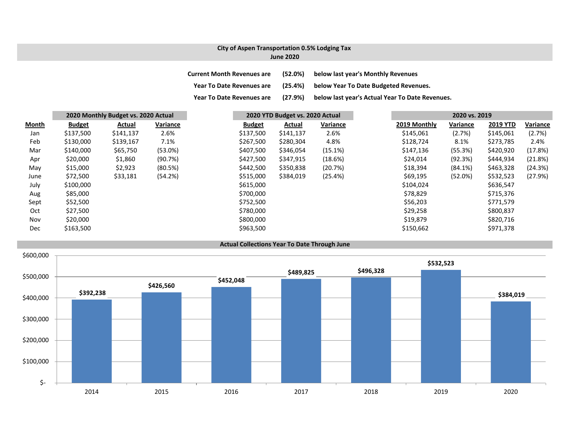### **City of Aspen Transportation 0.5% Lodging Tax June 2020**

| <b>Current Month Revenues are</b> | (52.0%) | below last year's Monthly Revenues              |
|-----------------------------------|---------|-------------------------------------------------|
| <b>Year To Date Revenues are</b>  | (25.4%) | below Year To Date Budgeted Revenues.           |
| <b>Year To Date Revenues are</b>  | (27.9%) | below last year's Actual Year To Date Revenues. |

|              | 2020 Monthly Budget vs. 2020 Actual |           |          | 2020 YTD Budget vs. 2020 Actual |           |          | 2020 vs. 2019 |              |            |                 |          |
|--------------|-------------------------------------|-----------|----------|---------------------------------|-----------|----------|---------------|--------------|------------|-----------------|----------|
| <b>Month</b> | <b>Budget</b>                       | Actual    | Variance | <b>Budget</b>                   | Actual    | Variance |               | 2019 Monthly | Variance   | <b>2019 YTD</b> | Variance |
| Jan          | \$137,500                           | \$141,137 | 2.6%     | \$137,500                       | \$141,137 | 2.6%     |               | \$145,061    | (2.7%)     | \$145,061       | (2.7%)   |
| Feb          | \$130,000                           | \$139,167 | 7.1%     | \$267,500                       | \$280,304 | 4.8%     |               | \$128,724    | 8.1%       | \$273,785       | 2.4%     |
| Mar          | \$140,000                           | \$65,750  | (53.0%)  | \$407,500                       | \$346,054 | (15.1%)  |               | \$147,136    | (55.3%)    | \$420,920       | (17.8%)  |
| Apr          | \$20,000                            | \$1,860   | (90.7%)  | \$427,500                       | \$347,915 | (18.6%)  |               | \$24,014     | (92.3%)    | \$444,934       | (21.8%)  |
| May          | \$15,000                            | \$2,923   | (80.5%)  | \$442,500                       | \$350,838 | (20.7%)  |               | \$18,394     | (84.1%)    | \$463,328       | (24.3%)  |
| June         | \$72,500                            | \$33,181  | (54.2%)  | \$515,000                       | \$384,019 | (25.4%)  |               | \$69,195     | $(52.0\%)$ | \$532,523       | (27.9%)  |
| July         | \$100,000                           |           |          | \$615,000                       |           |          |               | \$104,024    |            | \$636,547       |          |
| Aug          | \$85,000                            |           |          | \$700,000                       |           |          |               | \$78,829     |            | \$715,376       |          |
| Sept         | \$52,500                            |           |          | \$752,500                       |           |          |               | \$56,203     |            | \$771,579       |          |
| Oct          | \$27,500                            |           |          | \$780,000                       |           |          |               | \$29,258     |            | \$800,837       |          |
| Nov          | \$20,000                            |           |          | \$800,000                       |           |          |               | \$19,879     |            | \$820,716       |          |
| Dec          | \$163,500                           |           |          | \$963,500                       |           |          |               | \$150,662    |            | \$971,378       |          |

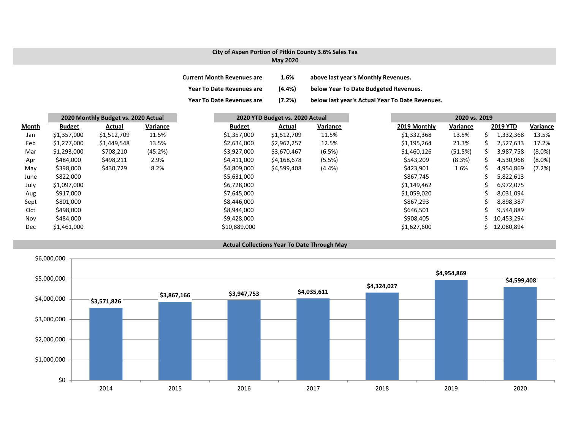### **City of Aspen Portion of Pitkin County 3.6% Sales Tax**

| <b>May 2020</b> |  |
|-----------------|--|
|-----------------|--|

| <b>Current Month Revenues are</b> | 1.6%      | above last year's Monthly Revenues.             |
|-----------------------------------|-----------|-------------------------------------------------|
| <b>Year To Date Revenues are</b>  | $(4.4\%)$ | below Year To Date Budgeted Revenues.           |
| <b>Year To Date Revenues are</b>  | (7.2%)    | below last year's Actual Year To Date Revenues. |

|              | 2020 Monthly Budget vs. 2020 Actual |             |          | 2020 YTD Budget vs. 2020 Actual |             |          | 2020 vs. 2019 |              |          |   |                 |           |
|--------------|-------------------------------------|-------------|----------|---------------------------------|-------------|----------|---------------|--------------|----------|---|-----------------|-----------|
| <b>Month</b> | <b>Budget</b>                       | Actual      | Variance | <b>Budget</b>                   | Actual      | Variance |               | 2019 Monthly | Variance |   | <b>2019 YTD</b> | Variance  |
| Jan          | \$1,357,000                         | \$1,512,709 | 11.5%    | \$1,357,000                     | \$1,512,709 | 11.5%    |               | \$1,332,368  | 13.5%    | S | 1,332,368       | 13.5%     |
| Feb          | \$1,277,000                         | \$1,449,548 | 13.5%    | \$2,634,000                     | \$2,962,257 | 12.5%    |               | \$1,195,264  | 21.3%    | S | 2,527,633       | 17.2%     |
| Mar          | \$1,293,000                         | \$708,210   | (45.2%)  | \$3,927,000                     | \$3,670,467 | (6.5%)   |               | \$1,460,126  | (51.5%)  |   | 3,987,758       | $(8.0\%)$ |
| Apr          | \$484,000                           | \$498,211   | 2.9%     | \$4,411,000                     | \$4,168,678 | (5.5%)   |               | \$543,209    | (8.3%)   | S | 4,530,968       | $(8.0\%)$ |
| May          | \$398,000                           | \$430,729   | 8.2%     | \$4,809,000                     | \$4,599,408 | (4.4% )  |               | \$423,901    | 1.6%     | S | 4,954,869       | (7.2%)    |
| June         | \$822,000                           |             |          | \$5,631,000                     |             |          |               | \$867,745    |          |   | 5,822,613       |           |
| July         | \$1,097,000                         |             |          | \$6,728,000                     |             |          |               | \$1,149,462  |          |   | 6,972,075       |           |
| Aug          | \$917,000                           |             |          | \$7,645,000                     |             |          |               | \$1,059,020  |          |   | 8,031,094       |           |
| Sept         | \$801,000                           |             |          | \$8,446,000                     |             |          |               | \$867,293    |          |   | 8,898,387       |           |
| Oct          | \$498,000                           |             |          | \$8,944,000                     |             |          |               | \$646,501    |          |   | 9,544,889       |           |
| Nov          | \$484,000                           |             |          | \$9,428,000                     |             |          |               | \$908,405    |          |   | 10,453,294      |           |
| Dec          | \$1,461,000                         |             |          | \$10,889,000                    |             |          |               | \$1,627,600  |          |   | 12,080,894      |           |

**Actual Collections Year To Date Through May**

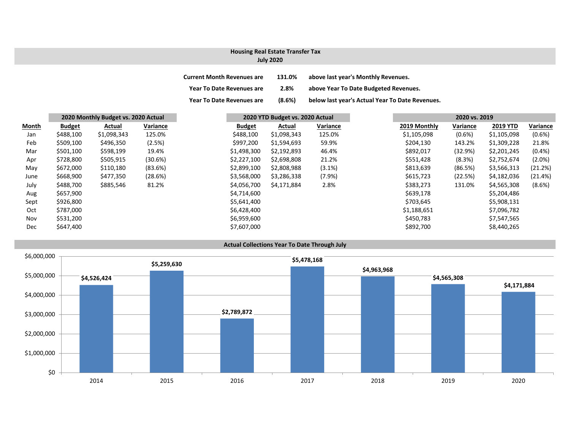# **Housing Real Estate Transfer Tax**

### **July 2020**

| <b>Current Month Revenues are</b> | 131.0% | above last year's Monthly Revenues.             |
|-----------------------------------|--------|-------------------------------------------------|
| <b>Year To Date Revenues are</b>  | 2.8%   | above Year To Date Budgeted Revenues.           |
| <b>Year To Date Revenues are</b>  | (8.6%) | below last year's Actual Year To Date Revenues. |

|            |               |             | 2020 Monthly Budget vs. 2020 Actual | 2020 YTD Budget vs. 2020 Actual |             |          |  | 2020 vs. 2019 |           |                 |          |
|------------|---------------|-------------|-------------------------------------|---------------------------------|-------------|----------|--|---------------|-----------|-----------------|----------|
| Month      | <b>Budget</b> | Actual      | Variance                            | <b>Budget</b>                   | Actual      | Variance |  | 2019 Monthly  | Variance  | <b>2019 YTD</b> | Variance |
| Jan        | \$488,100     | \$1,098,343 | 125.0%                              | \$488,100                       | \$1,098,343 | 125.0%   |  | \$1,105,098   | $(0.6\%)$ | \$1,105,098     |          |
| Feb        | \$509,100     | \$496,350   | (2.5%)                              | \$997,200                       | \$1,594,693 | 59.9%    |  | \$204,130     | 143.2%    | \$1,309,228     |          |
| Mar        | \$501,100     | \$598,199   | 19.4%                               | \$1,498,300                     | \$2,192,893 | 46.4%    |  | \$892,017     | (32.9%)   | \$2,201,245     |          |
| Apr        | \$728,800     | \$505,915   | (30.6%)                             | \$2,227,100                     | \$2,698,808 | 21.2%    |  | \$551,428     | (8.3%)    | \$2,752,674     |          |
| May        | \$672,000     | \$110,180   | (83.6%)                             | \$2,899,100                     | \$2,808,988 | (3.1%)   |  | \$813,639     | (86.5%)   | \$3,566,313     |          |
| June       | \$668,900     | \$477,350   | (28.6%)                             | \$3,568,000                     | \$3,286,338 | (7.9%)   |  | \$615,723     | (22.5%)   | \$4,182,036     |          |
| July       | \$488,700     | \$885,546   | 81.2%                               | \$4,056,700                     | \$4,171,884 | 2.8%     |  | \$383,273     | 131.0%    | \$4,565,308     |          |
| Aug        | \$657,900     |             |                                     | \$4,714,600                     |             |          |  | \$639,178     |           | \$5,204,486     |          |
| Sept       | \$926,800     |             |                                     | \$5,641,400                     |             |          |  | \$703,645     |           | \$5,908,131     |          |
| Oct        | \$787,000     |             |                                     | \$6,428,400                     |             |          |  | \$1,188,651   |           | \$7,096,782     |          |
| Nov        | \$531,200     |             |                                     | \$6,959,600                     |             |          |  | \$450,783     |           | \$7,547,565     |          |
| <b>Dec</b> | \$647,400     |             |                                     | \$7,607,000                     |             |          |  | \$892,700     |           | \$8,440,265     |          |

**Actual Collections Year To Date Through July**